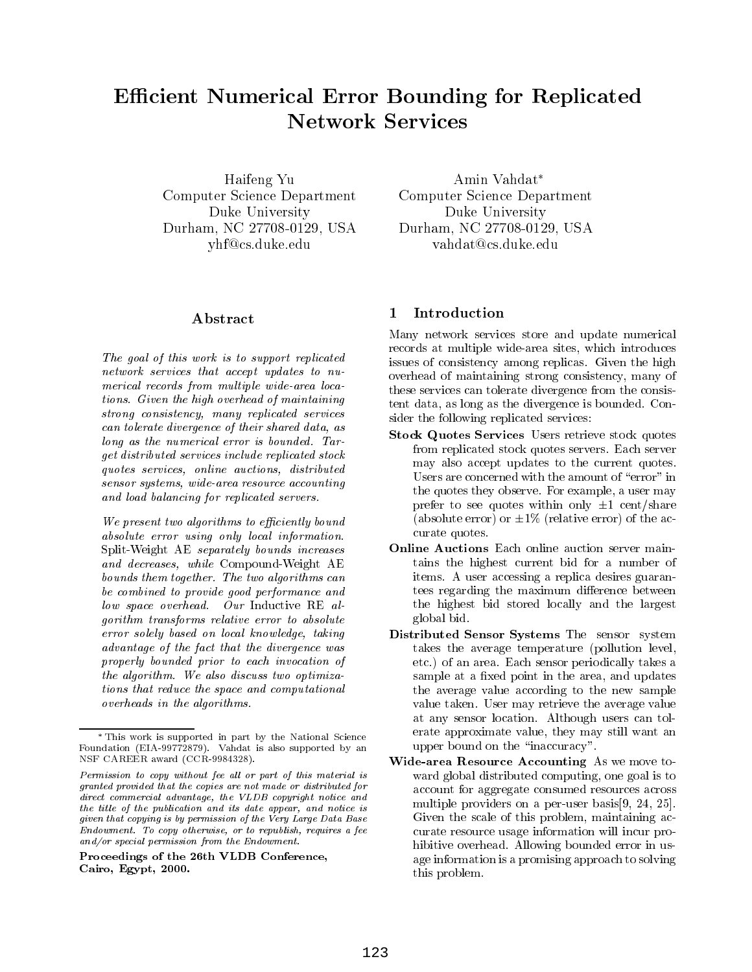#### Ecient Numerical Error Bounding for Replicated **Network Services** - - - - - - - - - - $\sim$  services and  $\sim$

Haifeng Yu Computer Science Department Duke University Durham, NC 27708-0129, USA yhf@cs.duke.edu

# Abstract

The goal of this work is to support replicated network services that accept updates to numerical records from multiple wide-area locations. Given the high overhead of maintaining strong consistency, many replicated services can tolerate divergence of their shared data, as long as the numerical error is bounded. Target distributed services include replicated stock quotes services, online auctions, distributed sensor systems, wide-area resource accounting and load balancing for replicated servers.

We present two algorithms to efficiently bound absolute error using only local information. Split-Weight AE separately bounds increases and decreases, while Compound-Weight AE bounds them together. The two algorithms can be combined to provide good performance and low space overhead. Our Inductive RE algorithm transforms relative error to absolute error solely based on local knowledge, taking advantage of the fact that the divergence was properly bounded prior to each invocation of the algorithm. We also discuss two optimizations that reduce the space and computational overheads in the algorithms.

Amin Vahdat Computer Science Department Duke University Durham, NC 27708-0129, USA vahdat@cs.duke.edu

#### Introduction  $\mathbf{1}$

Many network services store and update numerical records at multiple wide-area sites, which introduces issues of consistency among replicas. Given the high overhead of maintaining strong consistency, many of these services can tolerate divergence from the consistent data, as long as the divergence is bounded. Consider the following replicated services:

- Stock Quotes Services Users retrieve stock quotes from replicated stock quotes servers. Each server may also accept updates to the current quotes. Users are concerned with the amount of "error" in the quotes they observe. For example, a user may prefer to see quotes within only  $\pm 1$  cent/share (absolute error) or  $\pm 1\%$  (relative error) of the accurate quotes.
- Online Auctions Each online auction server maintains the highest current bid for a number of items. A user accessing a replica desires guarantees regarding the maximum difference between the highest bid stored locally and the largest global bid.
- Distributed Sensor Systems The sensor system takes the average temperature (pollution level, etc.) of an area. Each sensor periodically takes a sample at a fixed point in the area, and updates the average value according to the new sample value taken. User may retrieve the average value at any sensor location. Although users can tolerate approximate value, they may still want an upper bound on the "inaccuracy".
- Wide-area Resource Accounting As we move to ward global distributed computing, one goal is to account for aggregate consumed resources across multiple providers on a per-user basis[9, 24, 25]. Given the scale of this problem, maintaining accurate resource usage information will incur prohibitive overhead. Allowing bounded error in usage information is a promising approach to solving this problem.

This work is supported in part by the National Science Foundation (EIA-99772879). Vahdat is also supported by an NSF CAREER award (CCR-9984328).

Permission to copy without fee al l or part of this material is granted provided that the copies are not made or distributed fordirect commercial advantage, the VLDB copyright notice and the title of the publication and its date appear, and notice is given that copying is by permission of the Very Large Data BaseEndowment. To copy otherwise, or to republish, requires a fee and/or special permission from the Endowment.

Proceedings of the 26th VLDB Conference,Cairo, Egypt, 2000.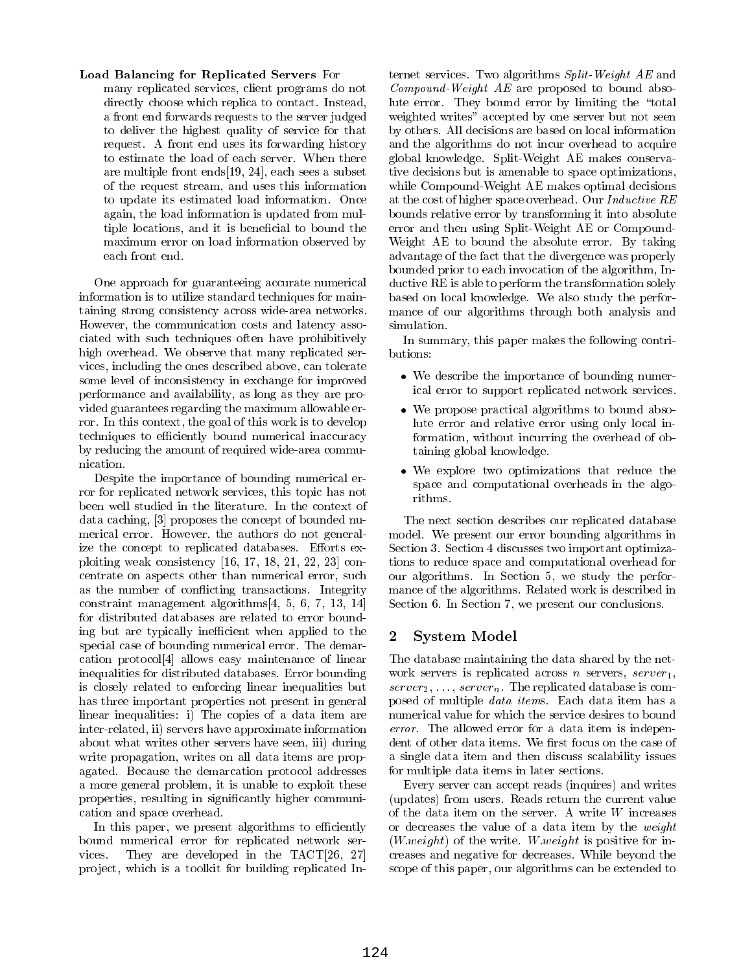## Load Balancing for Replicated Servers For

many replicated services, client programs do not directly choose which replica to contact. Instead, a front end forwards requests to the server judged to deliver the highest quality of service for that request. A front end uses its forwarding history to estimate the load of each server. When there are multiple front ends[19, 24], each sees a subset of the request stream, and uses this information to update its estimated load information. Once again, the load information is updated from multiple locations, and it is beneficial to bound the maximum error on load information observed by each front end.

One approach for guaranteeing accurate numerical information is to utilize standard techniques for maintaining strong consistency across wide-area networks. However, the communication costs and latency associated with such techniques often have prohibitively high overhead. We observe that many replicated services, including the ones described above, can tolerate some level of inconsistency in exchange for improved performance and availability, as long as they are provided guarantees regarding the maximum allowable error. In this context, the goal of this work is to develop techniques to efficiently bound numerical inaccuracy by reducing the amount of required wide-area communication.

Despite the importance of bounding numerical error for replicated network services, this topic has not been well studied in the literature. In the context of data caching, [3] proposes the concept of bounded numerical error. However, the authors do not generalize the concept to replicated databases. Efforts exploiting weak consistency [16, 17, 18, 21, 22, 23] concentrate on aspects other than numerical error, such as the number of conflicting transactions. Integrity constraint management algorithms[4, 5, 6, 7, 13, 14] for distributed databases are related to error bounding but are typically inefficient when applied to the  $\overline{\mathbf{2}}$ special case of bounding numerical error. The demarcation protocol[4] allows easy maintenance of linear inequalities for distributed databases. Error bounding is closely related to enforcing linear inequalities but has three important properties not present in general linear inequalities: i) The copies of a data item are inter-related, ii) servers have approximate information about what writes other servers have seen, iii) during write propagation, writes on all data items are propagated. Because the demarcation protocol addresses a more general problem, it is unable to exploit these properties, resulting in signicantly higher communication and space overhead.

In this paper, we present algorithms to efficiently bound numerical error for replicated network services. They are developed in the TACT[26, 27] project, which is a toolkit for building replicated Internet services. Two algorithms Split-Weight AE and Compound-Weight AE are proposed to bound absolute error. They bound error by limiting the "total weighted writes" accepted by one server but not seen by others. All decisions are based on local information and the algorithms do not incur overhead to acquire global knowledge. Split-Weight AE makes conservative decisions but is amenable to space optimizations, while Compound-Weight AE makes optimal decisions at the cost of higher space overhead. Our Inductive RE bounds relative error by transforming it into absolute error and then using Split-Weight AE or Compound-Weight AE to bound the absolute error. By taking advantage of the fact that the divergence was properly bounded prior to each invocation of the algorithm, Inductive RE is able to perform the transformation solely based on local knowledge. We also study the performance of our algorithms through both analysis and simulation.

In summary, this paper makes the following contributions:

- We describe the importance of bounding numerical error to support replicated network services.
- We propose practical algorithms to bound absolute error and relative error using only local information, without incurring the overhead of obtaining global knowledge.
- We explore two optimizations that reduce the space and computational overheads in the algorithms.

The next section describes our replicated database model. We present our error bounding algorithms in Section 3. Section 4 discusses two important optimizations to reduce space and computational overhead for our algorithms. In Section 5, we study the performance of the algorithms. Related work is described in Section 6. In Section 7, we present our conclusions.

## System Model

The database maintaining the data shared by the net work servers is replicated across n servers,  $server_1$ ,  $server_2, \ldots, server_n$ . The replicated database is composed of multiple data items. Each data item has a numerical value for which the service desires to bound error. The allowed error for a data item is independent of other data items. We first focus on the case of a single data item and then discuss scalability issues for multiple data items in later sections.

Every server can accept reads (inquires) and writes (updates) from users. Reads return the current value of the data item on the server. A write  $W$  increases or decreases the value of a data item by the weight  $(W.weight)$  of the write. W. weight is positive for increases and negative for decreases. While beyond the scope of this paper, our algorithms can be extended to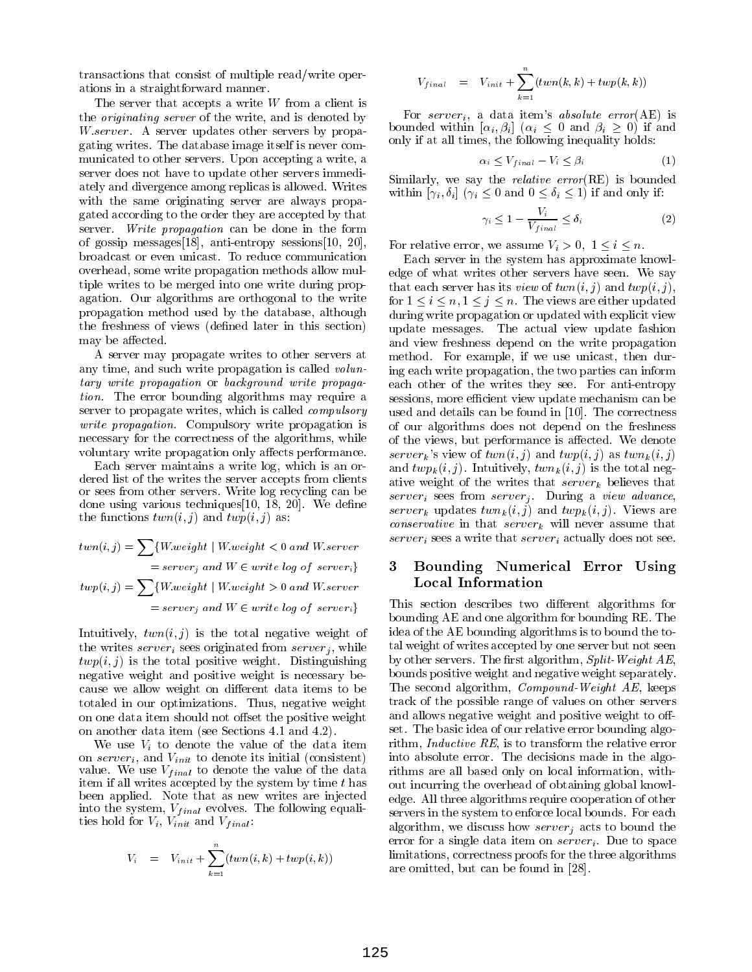transactions that consist of multiple read/write operations in a straightforward manner.

The server that accepts a write  $W$  from a client is the originating server of the write, and is denoted by W server. A server updates other servers by propagating writes. The database image itself is never com municated to other servers. Upon accepting a write, a server does not have to update other servers immediately and divergence among replicas is allowed. Writes with the same originating server are always propagated according to the order they are accepted by that server. Write propagation can be done in the form of gossip messages[18], anti-entropy sessions[10, 20], broadcast or even unicast. To reduce communication overhead, some write propagation methods allow multiple writes to be merged into one write during propagation. Our algorithms are orthogonal to the write propagation method used by the database, although the freshness of views (defined later in this section) may be affected.

A server may propagate writes to other servers at any time, and such write propagation is called *volun*tary write propagation or background write propagation. The error bounding algorithms may require a server to propagate writes, which is called compulsory write propagation. Compulsory write propagation is necessary for the correctness of the algorithms, while voluntary write propagation only affects performance.

Each server maintains a write log, which is an ordered list of the writes the server accepts from clients or sees from other servers. Write log recycling can be done using various techniques  $[10, 18, 20]$ . We define the functions  $twn(i, j)$  and  $twp(i, j)$  as:

 $twn(i,j) = \sum \{W.weight \mid W.weight < 0 \,\, and \,\, W.server$  $= server_j$  and  $W \in write log of server_i$  3  $twp(i,j) = \sum \{W.weight \mid W.weight > 0 \,\, and \, W.server$  $= server_j$  and  $W \in write log of server_i$   $\qquad \qquad$ 

Intuitively,  $twn(i, j)$  is the total negative weight of the writes  $server_i$  sees originated from  $server_j$ , while  $twp(i, j)$  is the total positive weight. Distinguishing negative weight and positive weight is necessary because we allow weight on different data items to be totaled in our optimizations. Thus, negative weight on one data item should not offset the positive weight on another data item (see Sections 4.1 and 4.2).

We use  $V_i$  to denote the value of the data item on  $server_i$ , and  $V_{init}$  to denote its initial (consistent) value. We use  $V_{final}$  to denote the value of the data item if all writes accepted by the system by time  $t$  has been applied. Note that as new writes are injected into the system,  $V_{final}$  evolves. The following equalities hold for  $V_i$ ,  $V_{init}$  and  $V_{final}$ :

$$
V_i \quad = \quad V_{init} + \sum_{k=1}^n (twn(i,k) + twp(i,k))
$$

$$
V_{final} = V_{init} + \sum_{k=1}^{n} (twn(k, k) + twp(k, k))
$$

For server<sub>i</sub>, a data item's *absolute error*(AE) is bounded within  $[\alpha_i, \beta_i]$   $(\alpha_i \leq 0 \text{ and } \beta_i \geq 0)$  if and only if at all times, the following inequality holds:

$$
\alpha_i \le V_{final} - V_i \le \beta_i \tag{1}
$$

Similarly, we say the relative error(RE) is bounded within  $[\gamma_i, \delta_i]$   $(\gamma_i \leq 0 \text{ and } 0 \leq \delta_i \leq 1)$  if and only if:

$$
\gamma_i \le 1 - \frac{V_i}{V_{final}} \le \delta_i \tag{2}
$$

For relative error, we assume  $V_i > 0, 1 \leq i \leq n$ .

Each server in the system has approximate knowledge of what writes other servers have seen. We say that each server has its *view* of  $twn(i, j)$  and  $twp(i, j)$ , for  $1 \le i \le n, 1 \le j \le n$ . The views are either updated during write propagation or updated with explicit view update messages. The actual view update fashion and view freshness depend on the write propagation method. For example, if we use unicast, then during each write propagation, the two parties can inform each other of the writes they see. For anti-entropy sessions, more efficient view update mechanism can be used and details can be found in [10]. The correctness of our algorithms does not depend on the freshness of the views, but performance is affected. We denote server<sub>k</sub>'s view of  $twn(i, j)$  and  $twp(i, j)$  as  $twn_k(i, j)$ and  $twp_k(i, j)$ . Intuitively,  $twn_k(i, j)$  is the total negative weight of the writes that  $server_k$  believes that  $server_i$  sees from  $server_j$ . During a view advance, server<sub>k</sub> updates  $twn_k(i, j)$  and  $twp_k(i, j)$ . Views are *conservative* in that  $server_k$  will never assume that  $server_i$  sees a write that  $server_i$  actually does not see.

# 3 Bounding Numerical Error Using Local Information

This section describes two different algorithms for bounding AE and one algorithm for bounding RE. The idea of the AE bounding algorithms is to bound the total weight of writes accepted by one server but not seen by other servers. The first algorithm, Split-Weight  $AE$ , bounds positive weight and negative weight separately. The second algorithm, Compound-Weight AE, keeps track of the possible range of values on other servers and allows negative weight and positive weight to offset. The basic idea of our relative error bounding algorithm, Inductive RE, is to transform the relative error into absolute error. The decisions made in the algorithms are all based only on local information, without incurring the overhead of obtaining global knowledge. All three algorithms require cooperation of other servers in the system to enforce local bounds. For each algorithm, we discuss how  $server_j$  acts to bound the error for a single data item on  $server_i$ . Due to space limitations, correctness proofs for the three algorithms are omitted, but can be found in [28].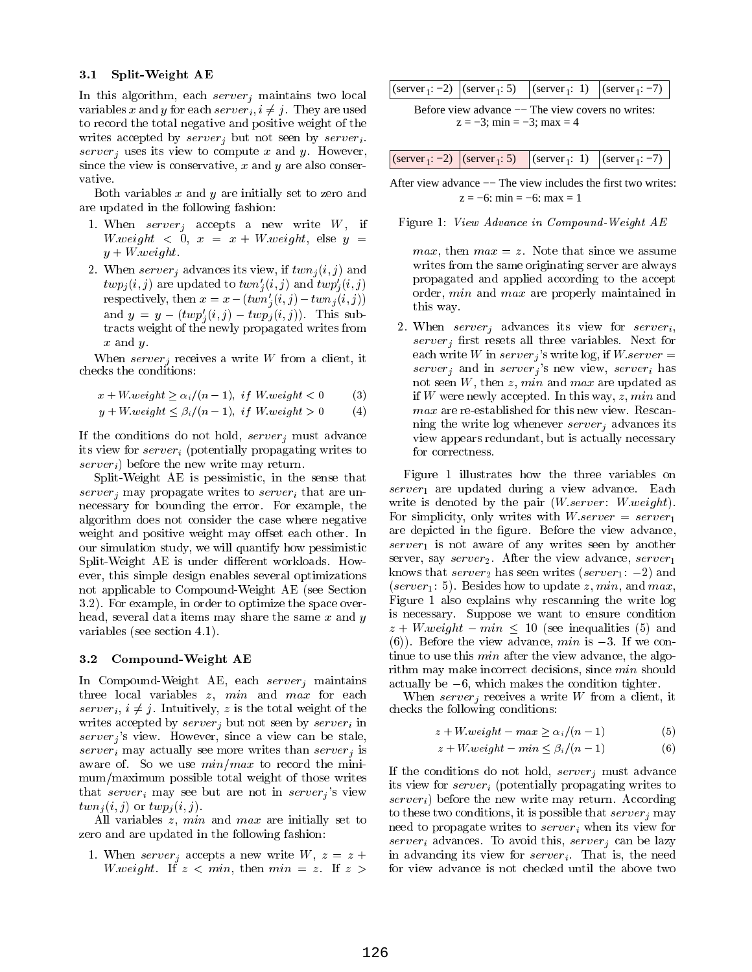## 3.1 Split-Weight AE

In this algorithm, each server<sub>i</sub> maintains two local variables x and y for each server<sub>i</sub>,  $i \neq j$ . They are used to record the total negative and positive weight of the writes accepted by  $server_i$  but not seen by  $server_i$ . server<sub>i</sub> uses its view to compute x and y. However, since the view is conservative,  $x$  and  $y$  are also conservative.

Both variables  $x$  and  $y$  are initially set to zero and are updated in the following fashion:

- 1. When  $server_i$  accepts a new write  $W$ , if with the contract of the contract of the contract of the contract of the contract of the contract of the contract of the contract of the contract of the contract of the contract of the contract of the contract of the contr y + W:weight.
- 2. When  $server_i$  advances its view, if  $twn_i(i, j)$  and  $twp_j(i, j)$  are updated to  $twn'_j(i, j)$  and  $twp'_j(i, j)$ respectively, then  $x = x - (twn'_i(i, j) - twn_j(i, j))$ and  $y = y - (twp'_i(i, j) - twp_i(i, j))$ . This subtracts weight of the newly propagated writes from x and y.

When server<sub>i</sub> receives a write W from a client, it checks the conditions:

$$
x + W. weight \ge \alpha_i/(n-1), \text{ if } W. weight < 0 \tag{3}
$$

$$
y + W. weight \leq \beta_i / (n - 1), \text{ if } W. weight > 0 \tag{4}
$$

If the conditions do not hold,  $server_i$  must advance its view for  $server_i$  (potentially propagating writes to  $server_i)$  before the new write may return.

Split-Weight AE is pessimistic, in the sense that server<sub>i</sub> may propagate writes to server<sub>i</sub> that are unnecessary for bounding the error. For example, the algorithm does not consider the case where negative weight and positive weight may offset each other. In our simulation study, we will quantify how pessimistic Split-Weight AE is under different workloads. However, this simple design enables several optimizations not applicable to Compound-Weight AE (see Section 3.2). For example, in order to optimize the space overhead, several data items may share the same  $x$  and  $y$ variables (see section 4.1).

#### 3.2 Compound-Weight AE

In Compound-Weight AE, each  $server_j$  maintains three local variables  $z$ ,  $min$  and  $max$  for each server<sub>i</sub>,  $i \neq j$ . Intuitively, z is the total weight of the writes accepted by  $server_j$  but not seen by  $server_i$  in  $server<sub>i</sub>$ 's view. However, since a view can be stale, server<sub>i</sub> may actually see more writes than server<sub>i</sub> is aware of. So we use  $min/max$  to record the minimum/maximum possible total weight of those writes that server<sub>i</sub> may see but are not in server<sub>i</sub>'s view  $twn<sub>i</sub>(i, j)$  or  $twp<sub>i</sub>(i, j)$ .

All variables z, min and max are initially set to zero and are updated in the following fashion:

1. When server<sub>i</sub> accepts a new write  $W, z = z +$ W.weight. If  $z < min$ , then  $min = z$ . If  $z >$ 

|  |  |  | (server <sub>1</sub> : -2) $ $ (server <sub>1</sub> : 5) $ $ (server <sub>1</sub> : 1) $ $ (server <sub>1</sub> : -7) $ $ |
|--|--|--|---------------------------------------------------------------------------------------------------------------------------|
|--|--|--|---------------------------------------------------------------------------------------------------------------------------|

 $z = -3$ ; min =  $-3$ ; max = 4 Before view advance — The view covers no writes:

| (server <sub>1</sub> : -2) $ $ (server <sub>1</sub> : 5) $ $ (server <sub>1</sub> : 1) $ $ (server <sub>1</sub> : -7) $ $ |
|---------------------------------------------------------------------------------------------------------------------------|
|---------------------------------------------------------------------------------------------------------------------------|

 $z = -6$ ; min =  $-6$ ; max = 1 After view advance −− The view includes the first two writes:

Figure 1: View Advance in Compound-Weight AE

*max*, then  $max = z$ . Note that since we assume writes from the same originating server are always propagated and applied according to the accept order, min and max are properly maintained in this way.

2. When  $server_i$  advances its view for  $server_i$ ,  $server_j$  first resets all three variables. Next for each write W in  $server_i$ 's write log, if  $W \text{.} server =$  $server_j$  and in  $server_j$ 's new view,  $server_i$  has not seen  $W$ , then  $z$ ,  $min$  and  $max$  are updated as if W were newly accepted. In this way,  $z$ ,  $min$  and ning the write log whenever  $server_i$  advances its view appears redundant, but is actually necessary for correctness.

Figure 1 illustrates how the three variables on  $server_1$  are updated during a view advance. Each write is denoted by the pair  $(W\,server: \, W\,weight)$ . For simplicity, only writes with  $W\text{.}server = server_1$ are depicted in the figure. Before the view advance,  $server_1$  is not aware of any writes seen by another server, say  $server_2$ . After the view advance,  $server_1$ knows that  $server_2$  has seen writes (server<sub>1</sub>: -2) and (server<sub>1</sub>: 5). Besides how to update z, min, and max, Figure 1 also explains why rescanning the write log is necessary. Suppose we want to ensure condition  $\cdots$  , we say that we have interested in the second second interest (5) and  $\cdots$ (6)). Before the view advance,  $min$  is  $-3$ . If we continue to use this *min* after the view advance, the algorithm may make incorrect decisions, since min should actually be  $-6$ , which makes the condition tighter.

When  $server_j$  receives a write W from a client, it checks the following conditions:

$$
z + W \text{.} weight - \max \ge \alpha_i / (n - 1) \tag{5}
$$

$$
z + W. weight - min \leq \beta_i / (n - 1) \tag{6}
$$

If the conditions do not hold,  $server_j$  must advance its view for  $server_i$  (potentially propagating writes to  $server_i$ ) before the new write may return. According to these two conditions, it is possible that  $server_i$  may need to propagate writes to  $server_i$  when its view for server<sub>i</sub> advances. To avoid this, server<sub>i</sub> can be lazy in advancing its view for  $server_i$ . That is, the need for view advance is not checked until the above two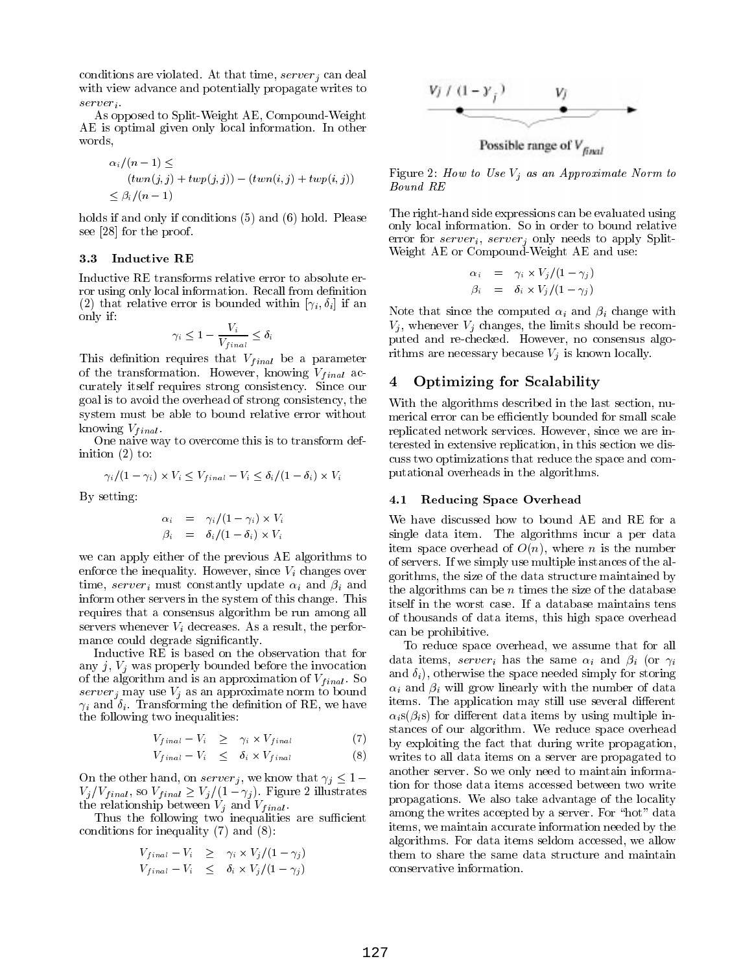conditions are violated. At that time,  $server_i$  can deal with view advance and potentially propagate writes to server<sub>i</sub>.

As opposed to Split-Weight AE, Compound-Weight AE is optimal given only local information. In other words.

$$
\alpha_i/(n-1) \le
$$
  
\n
$$
(twn(j, j) + twp(j, j)) - (twn(i, j) + twp(i, j))
$$
  
\n
$$
\leq \beta_i/(n-1)
$$

holds if and only if conditions (5) and (6) hold. Please see [28] for the proof.

#### 3.3 Inductive RE

Inductive RE transforms relative error to absolute error using only local information. Recall from definition (2) that relative error is bounded within  $[\gamma_i, \delta_i]$  if an only if:

$$
\gamma_i \leq 1 - \frac{V_i}{V_{final}} \leq \delta_i
$$

This definition requires that  $V_{final}$  be a parameter of the transformation. However, knowing  $V_{final}$  accurately itself requires strong consistency. Since our goal is to avoid the overhead of strong consistency, the system must be able to bound relative error without knowing  $V_{final}$ .

One naive way to overcome this is to transform definition (2) to:

$$
\gamma_i/(1-\gamma_i) \times V_i \le V_{final} - V_i \le \delta_i/(1-\delta_i) \times V_i
$$

By setting:

$$
\alpha_i = \gamma_i/(1-\gamma_i) \times V_i
$$
  
\n
$$
\beta_i = \delta_i/(1-\delta_i) \times V_i
$$

we can apply either of the previous AE algorithms to enforce the inequality. However, since  $V_i$  changes over time, server<sub>i</sub> must constantly update  $\alpha_i$  and  $\beta_i$  and inform other servers in the system of this change. This requires that a consensus algorithm be run among all servers whenever  $V_i$  decreases. As a result, the performance could degrade significantly.

Inductive RE is based on the observation that for any  $j, V_j$  was properly bounded before the invocation  $\sim$  the algorithm and is an approximation of  $V_{\text{Hillul}}$  . So serverj may use Vj as an approximate norm to bound if and in the definition of  $\mathbf{C}$  . The definition of  $\mathbf{C}$ the following two inequalities:

$$
V_{final} - V_i \geq \gamma_i \times V_{final} \tag{7}
$$

$$
V_{final} - V_i \leq \delta_i \times V_{final} \tag{8}
$$

On the other hand, on server<sub>j</sub>, we know that  $\gamma_j \leq 1$  $V_j/V_{final}$ , so  $V_{final} \ge V_j/(1 - \gamma_j)$ . Figure 2 illustrates the relationship between  $V_i$  and  $V_{final}$ .

Thus the following two inequalities are sufficient conditions for inequality (7) and (8):

$$
V_{final} - V_i \geq \gamma_i \times V_j/(1 - \gamma_j)
$$
  
\n
$$
V_{final} - V_i \leq \delta_i \times V_j/(1 - \gamma_j)
$$



Figure 2: How to Use  $V_i$  as an Approximate Norm to Bound RE

The right-hand side expressions can be evaluated using only local information. So in order to bound relative error for server<sub>i</sub>, server<sub>j</sub> only needs to apply Split-Weight AE or Compound-Weight AE and use:

$$
\alpha_i = \gamma_i \times V_j/(1-\gamma_j)
$$
  
\n
$$
\beta_i = \delta_i \times V_j/(1-\gamma_j)
$$

Note that since the computed  $\alpha_i$  and  $\beta_i$  change with  $V_i$ , whenever  $V_i$  changes, the limits should be recomputed and re-checked. However, no consensus algorithms are necessary because  $V_i$  is known locally.

## 4 Optimizing for Scalability

With the algorithms described in the last section, numerical error can be efficiently bounded for small scale replicated network services. However, since we are interested in extensive replication, in this section we discuss two optimizations that reduce the space and computational overheads in the algorithms.

## 4.1 Reducing Space Overhead

We have discussed how to bound AE and RE for a single data item. The algorithms incur a per data item space overhead of  $O(n)$ , where *n* is the number of servers. If we simply use multiple instances of the algorithms, the size of the data structure maintained by the algorithms can be  $n$  times the size of the database itself in the worst case. If a database maintains tens of thousands of data items, this high space overhead can be prohibitive.

To reduce space overhead, we assume that for all data items, server<sub>i</sub> has the same  $\alpha_i$  and  $\beta_i$  (or  $\gamma_i$ and  $\delta_i$ ), otherwise the space needed simply for storing  $\alpha_i$  and  $\beta_i$  will grow linearly with the number of data items. The application may still use several different  $\alpha_i$ s( $\beta_i$ s) for different data items by using multiple instances of our algorithm. We reduce space overhead by exploiting the fact that during write propagation, writes to all data items on a server are propagated to another server. So we only need to maintain information for those data items accessed between two write propagations. We also take advantage of the locality among the writes accepted by a server. For "hot" data items, we maintain accurate information needed by the algorithms. For data items seldom accessed, we allow them to share the same data structure and maintain conservative information.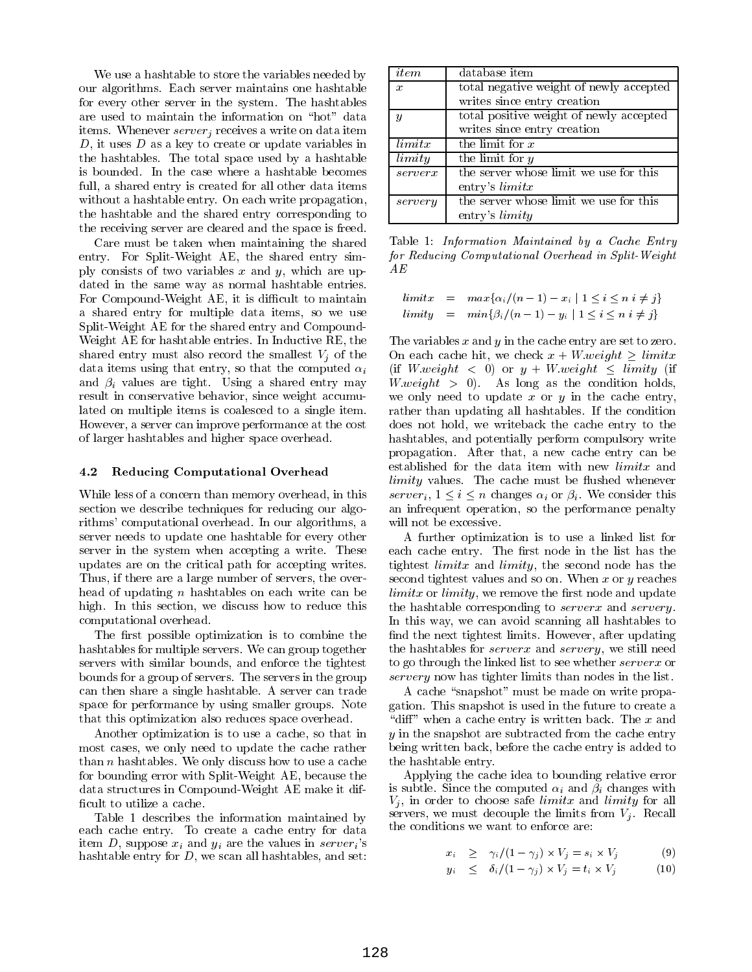We use a hashtable to store the variables needed by our algorithms. Each server maintains one hashtable for every other server in the system. The hashtables are used to maintain the information on "hot" data items. Whenever  $server_j$  receives a write on data item  $D$ , it uses  $D$  as a key to create or update variables in the hashtables. The total space used by a hashtable is bounded. In the case where a hashtable becomes full, a shared entry is created for all other data items without a hashtable entry. On each write propagation, the hashtable and the shared entry corresponding to the receiving server are cleared and the space is freed.

Care must be taken when maintaining the shared entry. For Split-Weight AE, the shared entry simply consists of two variables x and y, which are updated in the same way as normal hashtable entries. For Compound-Weight AE, it is difficult to maintain a shared entry for multiple data items, so we use Split-Weight AE for the shared entry and Compound-Weight AE for hashtable entries. In Inductive RE, the shared entry must also record the smallest  $V_i$  of the data items using that entry, so that the computed  $\alpha_i$ and  $\beta_i$  values are tight. Using a shared entry may result in conservative behavior, since weight accumulated on multiple items is coalesced to a single item. However, a server can improve performance at the cost of larger hashtables and higher space overhead.

#### 4.2 Reducing Computational Overhead

While less of a concern than memory overhead, in this section we describe techniques for reducing our algorithms' computational overhead. In our algorithms, a server needs to update one hashtable for every other server in the system when accepting a write. These updates are on the critical path for accepting writes. Thus, if there are a large number of servers, the overhead of updating  $n$  hashtables on each write can be high. In this section, we discuss how to reduce this computational overhead.

The first possible optimization is to combine the hashtables for multiple servers. We can group together servers with similar bounds, and enforce the tightest bounds for a group of servers. The servers in the group can then share a single hashtable. A server can trade space for performance by using smaller groups. Note that this optimization also reduces space overhead.

Another optimization is to use a cache, so that in most cases, we only need to update the cache rather than  $n$  hashtables. We only discuss how to use a cache for bounding error with Split-Weight AE, because the data structures in Compound-Weight AE make it dif ficult to utilize a cache.

Table 1 describes the information maintained by each cache entry. To create a cache entry for data item D, suppose  $x_i$  and  $y_i$  are the values in server<sub>i</sub>'s hashtable entry for  $D$ , we scan all hashtables, and set:

| item             | database item                           |
|------------------|-----------------------------------------|
| $\boldsymbol{x}$ | total negative weight of newly accepted |
|                  | writes since entry creation             |
| $\boldsymbol{y}$ | total positive weight of newly accepted |
|                  | writes since entry creation             |
| limit x          | the limit for $x$                       |
| limity           | the limit for $y$                       |
| serverx          | the server whose limit we use for this  |
|                  | entry's $limit x$                       |
| servery          | the server whose limit we use for this  |
|                  | entry's limity                          |

Table 1: Information Maintained by a Cache Entry for Reducing Computational Overhead in Split-Weight  $AE$ 

 $\lim{itx = max\{\alpha_i/(n-1) - x_i \mid 1 \le i \le n \ i \ne j\}}$  $\lim ity = \min\{\beta_i/(n-1) - y_i \mid 1 \leq i \leq n \ i \neq j\}$ 

The variables  $x$  and  $y$  in the cache entry are set to zero. On each cache hit, we check  $x + W$  weight  $>$  limits (if W.weight  $\langle 0 \rangle$  or  $y + W$ .weight  $\langle$  limity (if with a condition of the condition of the condition of the condition of the condition of the condition of the condition of the condition of the condition of the condition of the condition of the condition of the condition o we only need to update  $x$  or  $y$  in the cache entry, rather than updating all hashtables. If the condition does not hold, we writeback the cache entry to the hashtables, and potentially perform compulsory write propagation. After that, a new cache entry can be established for the data item with new limitx and limity values. The cache must be ushed whenever server<sub>i</sub>,  $1 \leq i \leq n$  changes  $\alpha_i$  or  $\beta_i$ . We consider this an infrequent operation, so the performance penalty will not be excessive.

A further optimization isto use a linked list for each cache entry. The first node in the list has the tightest  $limitx$  and  $limity$ , the second node has the second tightest values and so on. When  $x$  or  $y$  reaches limitx orlimity, we remove the rst node and update the hashtable corresponding to *serverx* and *servery*. In this way, we can avoid scanning all hashtables to find the next tightest limits. However, after updating the hashtables for serverx and servery, we still need to go through the linked list to see whether serverx or servery now has tighter limits than nodes in the list.

A cache "snapshot" must be made on write propagation. This snapshot is used in the future to create a "diff" when a cache entry is written back. The  $x$  and  $\eta$  in the snapshot are subtracted from the case in the case entry  $\eta$ being written back, before the cache entry is added to the hashtable entry.

Applying the cache idea to bounding relative error is subtle. Since the computed  $\alpha_i$  and  $\bar{\beta}_i$  changes with  $V_j$ , in order to choose safe *limits* and *limity* for all servers, we must decouple the limits from  $V_j$ . Recall the conditions we want to enforce are:

$$
x_i \geq \gamma_i/(1-\gamma_j) \times V_j = s_i \times V_j \tag{9}
$$

$$
y_i \leq \delta_i/(1-\gamma_j) \times V_j = t_i \times V_j \tag{10}
$$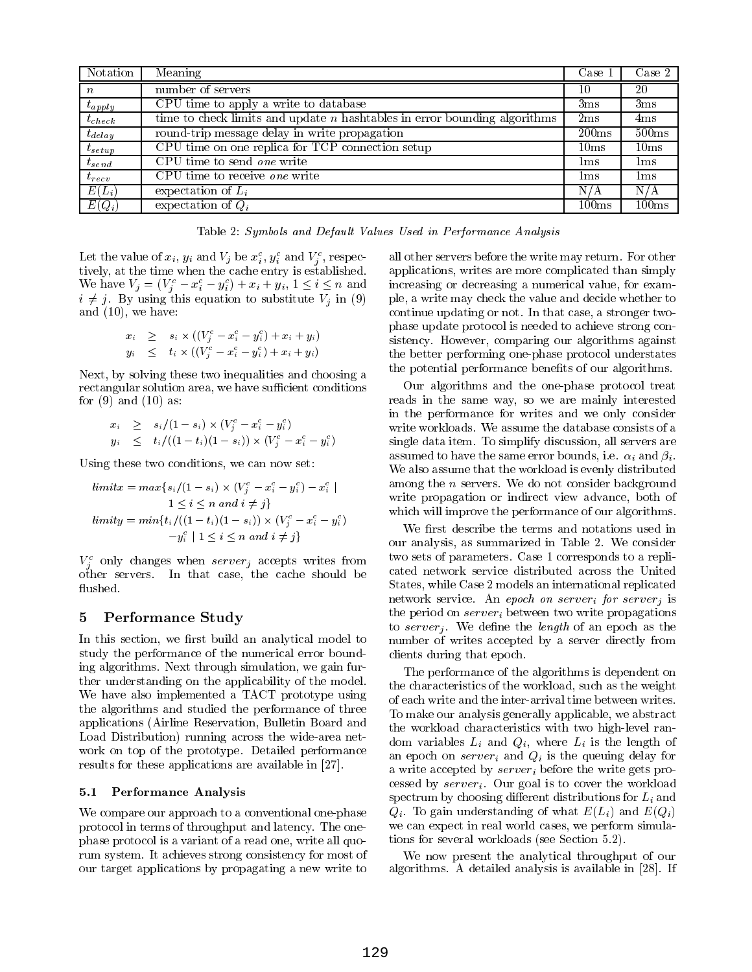| Notation         | $\overline{\text{Mean}}$                                                    | Case 1            | Case 2          |
|------------------|-----------------------------------------------------------------------------|-------------------|-----------------|
| $\boldsymbol{n}$ | number of servers                                                           | 10                | 20              |
| $t_{apply}$      | CPU time to apply a write to database                                       | 3 <sub>ms</sub>   | 3 <sub>ms</sub> |
| $t_{check}$      | time to check limits and update $n$ hashtables in error bounding algorithms | 2ms               | 4ms             |
| $t_{delay}$      | round-trip message delay in write propagation                               | 200ms             | 500ms           |
| $t_{setup}$      | CPU time on one replica for TCP connection setup                            | 10ms              | 10ms            |
| $t_{send}$       | CPU time to send one write                                                  | lms               | $1 \,\rm ms$    |
| $t_{recv}$       | CPU time to receive one write                                               | lms               | 1 ms            |
| $E(L_i)$         | expectation of $L_i$                                                        | N/A               | N/A             |
| $E(Q_i)$         | expectation of $Q_i$                                                        | 100 <sub>ms</sub> | 100ms           |

Table 2: Symbols and Default Values Used in Performance Analysis

Let the value of  $x_i$ ,  $y_i$  and  $v_j$  be  $x_i$ ,  $y_i$  and  $v_j$ , respec<sup>j</sup> tively, at the time when the cache entry is established. we have  $v_j = (v_j - x_i - y_i) + x_i + y_i$ ,  $1 \leq i \leq n$  and increases  $\ldots$  j. By using this equation to substitute  $\ldots$  in (9) i. and (10), we have:

$$
x_i \geq s_i \times ((V_j^c - x_i^c - y_i^c) + x_i + y_i)
$$
  
\n
$$
y_i \leq t_i \times ((V_j^c - x_i^c - y_i^c) + x_i + y_i)
$$

Next, by solving these two inequalities and choosing a rectangular solution area, we have sufficient conditions for  $(9)$  and  $(10)$  as:

$$
x_i \geq s_i/(1-s_i) \times (V_j^c - x_i^c - y_i^c)
$$
  
\n
$$
y_i \leq t_i/((1-t_i)(1-s_i)) \times (V_j^c - x_i^c - y_i^c)
$$

Using these two conditions, we can now set:

$$
limit x = max\{s_i/(1 - s_i) \times (V_j^c - x_i^c - y_i^c) - x_i^c \mid
$$
  
\n
$$
1 \le i \le n \text{ and } i \ne j\}
$$
  
\n
$$
limit y = min\{t_i/((1 - t_i)(1 - s_i)) \times (V_j^c - x_i^c - y_i^c) \mid
$$
  
\n
$$
-y_i^c | 1 \le i \le n \text{ and } i \ne j\}
$$

 $V_i$  only changes when server, accepts writes from  $\sim$ other servers. In that case, the cache should be flushed.

# 5 Performance Study

In this section, we first build an analytical model to study the performance of the numerical error bounding algorithms. Next through simulation, we gain further understanding on the applicability of the model. We have also implemented a TACT prototype using the algorithms and studied the performance of three applications (Airline Reservation, Bulletin Board and Load Distribution) running across the wide-area net work on top of the prototype. Detailed performance results for these applications are available in [27].

## 5.1 Performance Analysis

We compare our approach to a conventional one-phase protocol in terms of throughput and latency. The onephase protocol is a variant of a read one, write all quorum system. It achieves strong consistency for most of our target applications by propagating a new write to

all other servers before the write may return. For other applications, writes are more complicated than simply increasing or decreasing a numerical value, for example, a write may check the value and decide whether to continue updating or not. In that case, a stronger twophase update protocol is needed to achieve strong consistency. However, comparing our algorithms against the better performing one-phase protocol understates the potential performance benefits of our algorithms.

Our algorithms and the one-phase protocol treat reads in the same way, so we are mainly interested in the performance for writes and we only consider write workloads. We assume the database consists of a single data item. To simplify discussion, all servers are assumed to have the same error bounds, i.e.  $\alpha_i$  and  $\beta_i$ . We also assume that the workload is evenly distributed among the <sup>n</sup> servers. We do not consider background write propagation or indirect view advance, both of which will improve the performance of our algorithms.

We first describe the terms and notations used in our analysis, as summarized in Table 2. We consider two sets of parameters. Case 1 corresponds to a replicated network service distributed across the United States, while Case 2 models an international replicated network service. An epoch on server<sub>i</sub> for server<sub>i</sub> is the period on  $server_i$  between two write propagations to server<sub>j</sub>. We define the length of an epoch as the number of writes accepted by a server directly from clients during that epoch.

The performance of the algorithms is dependent on the characteristics of the workload, such as the weight of each write and the inter-arrival time between writes. To make our analysis generally applicable, we abstract the workload characteristics with two high-level random variables  $L_i$  and  $Q_i$ , where  $L_i$  is the length of an epoch on  $server_i$  and  $Q_i$  is the queuing delay for a write accepted by  $server_i$  before the write gets processed by  $server_i$ . Our goal is to cover the workload spectrum by choosing different distributions for  $L_i$  and  $Q_i$ . To gain understanding of what  $E(L_i)$  and  $E(Q_i)$ we can expect in real world cases, we perform simulations for several workloads (see Section 5.2).

We now present the analytical throughput of our algorithms. A detailed analysis is available in [28]. If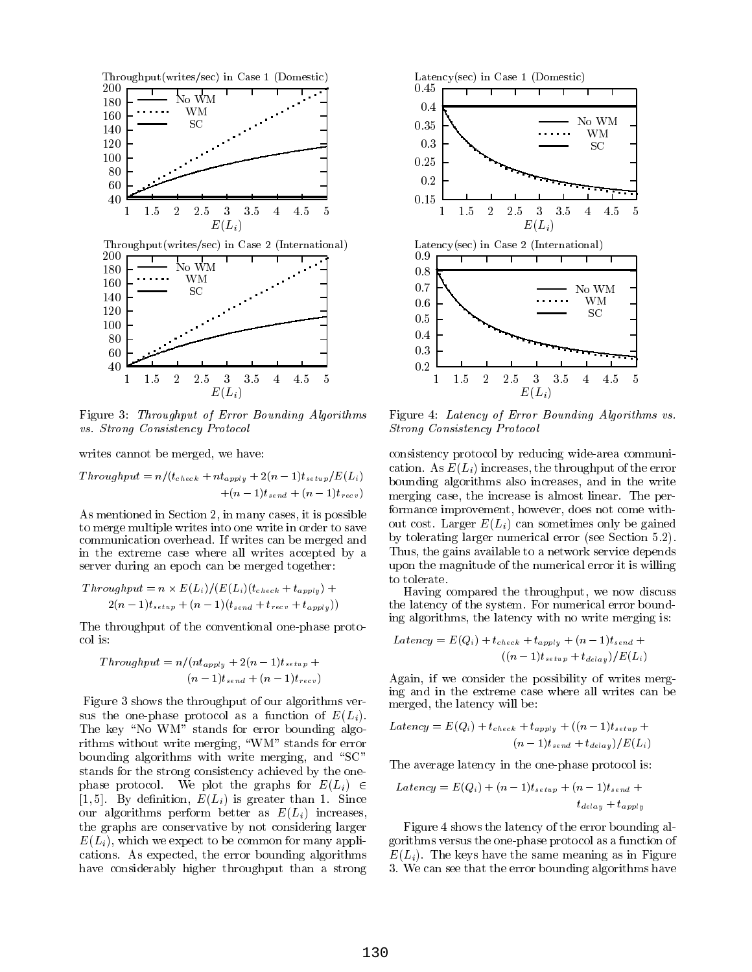

Figure 3: Throughput of Error Bounding Algorithms vs. Strong Consistency Protocol

writes cannot be merged, we have:

$$
Throughout = n/(t_{check} + nt_{apply} + 2(n-1)t_{setup}/E(L_i)
$$
  
 
$$
+(n-1)t_{send} + (n-1)t_{recv})
$$

As mentioned in Section 2, in many cases, it is possible to merge multiple writes into one write in order to save communication overhead. If writes can be merged and in the extreme case where all writes accepted by a server during an epoch can be merged together:

$$
Throughout = n \times E(L_i)/(E(L_i)(t_{check} + t_{apply}) +
$$
  
2(n-1)t<sub>setup</sub> + (n-1)(t<sub>send</sub> + t<sub>recv</sub> + t<sub>apply</sub>)) th

The throughput of the conventional one-phase protocol is:

$$
Throughput = n/(nt_{apply} + 2(n-1)t_{setup} + (n-1)t_{setup})
$$

Figure 3 shows the throughput of our algorithms versus the one-phase protocol as a function of  $E(L_i)$ . The key "No WM" stands for error bounding algorithms without write merging, "WM" stands for error bounding algorithms with write merging, and " $SC"$ stands for the strong consistency achieved by the onephase protocol. We plot the graphs for  $E(L_i) \in$ [1,5]. By definition,  $E(L_i)$  is greater than 1. Since our algorithms perform better as  $E(L_i)$  increases, the graphs are conservative by not considering larger  $E(L_i)$ , which we expect to be common for many applications. As expected, the error bounding algorithms have considerably higher throughput than a strong



Figure 4: Latency of Error Bounding Algorithms vs. Strong Consistency Protocol

consistency protocol by reducing wide-area communication. As  $E(L_i)$  increases, the throughput of the error bounding algorithms also increases, and in the write merging case, the increase is almost linear. The performance improvement, however, does not come without cost. Larger  $E(L_i)$  can sometimes only be gained by tolerating larger numerical error (see Section 5.2). Thus, the gains available to a network service depends upon the magnitude of the numerical error it is willing to tolerate.

Having compared the throughput, we now discuss the latency of the system. For numerical error bounding algorithms, the latency with no write merging is:

$$
Latency = E(Q_i) + t_{check} + t_{apply} + (n-1)t_{send} + (n-1)t_{send} + (n-1)t_{setup} + t_{delay}/E(L_i)
$$

Again, if we consider the possibility of writes merging and in the extreme case where all writes can be merged, the latency will be:

$$
Latency = E(Q_i) + t_{check} + t_{apply} + ((n-1)t_{setup} + (n-1)t_{setup})
$$

$$
(n-1)t_{send} + t_{delay})/E(L_i)
$$

The average latency in the one-phase protocol is:

$$
Latency = E(Q_i) + (n-1)t_{setup} + (n-1)t_{send} + t_{delay} + t_{apply}
$$

Figure 4 shows the latency of the error bounding algorithms versus the one-phase protocol as a function of  $E(L_i)$ . The keys have the same meaning as in Figure 3. We can see that the error bounding algorithms have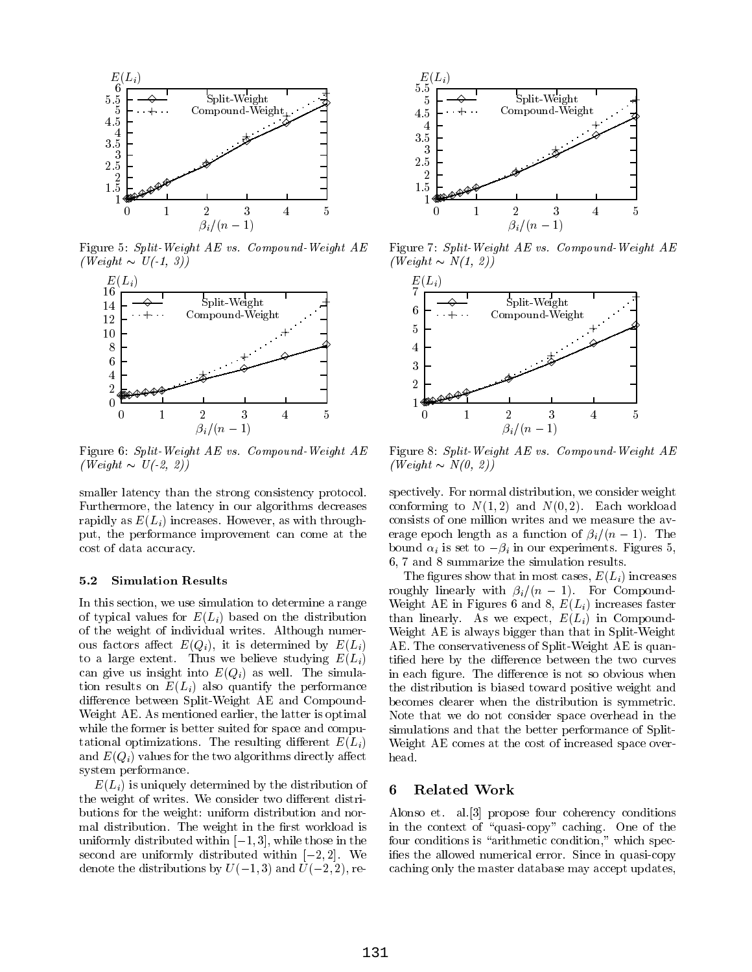

Figure 5: Split-Weight AE vs. Compound-Weight AE  $(Weight \sim U(-1, 3))$ 



Figure 6: Split-Weight AE vs. Compound-Weight AE  $(Weight \sim U(-2, 2))$ 

smaller latency than the strong consistency protocol. Furthermore, the latency in our algorithms decreases rapidly as  $E(L_i)$  increases. However, as with throughput, the performance improvement can come at the cost of data accuracy.

## 5.2 Simulation Results

In this section, we use simulation to determine a range of typical values for  $E(L_i)$  based on the distribution of the weight of individual writes. Although numerous factors affect  $E(Q_i)$ , it is determined by  $E(L_i)$ to a large extent. Thus we believe studying  $E(L_i)$ can give us insight into  $E(Q_i)$  as well. The simulation results on  $E(L_i)$  also quantify the performance difference between Split-Weight AE and Compound-Weight AE. As mentioned earlier, the latter is optimal while the former is better suited for space and computational optimizations. The resulting different  $E(L_i)$ and  $E(Q_i)$  values for the two algorithms directly affect system performance.

 $E(L_i)$  is uniquely determined by the distribution of  $\bf{6}$ the weight of writes. We consider two different distributions for the weight: uniform distribution and normal distribution. The weight in the first workload is uniformly distributed within  $[-1, 3]$ , while those in the second are uniformly distributed within  $[-2, 2]$ . We denote the distributions by  $U(-1, 3)$  and  $U(-2, 2)$ , re-



Figure 7: Split-Weight AE vs. Compound-Weight AE  $(Weight \sim N(1, 2))$ 



Figure 8: Split-Weight AE vs. Compound-Weight AE  $(Weight \sim N(0, 2))$ 

spectively. For normal distribution, we consider weight conforming to  $N(1,2)$  and  $N(0,2)$ . Each workload consists of one million writes and we measure the av erage epoch length as a function of  $\beta_i/(n-1)$ . The bound  $\alpha_i$  is set to  $-\beta_i$  in our experiments. Figures 5, 6, 7 and 8 summarize the simulation results.

The figures show that in most cases,  $E(L_i)$  increases roughly linearly with  $\beta_i/(n - 1)$ . For Compound-Weight AE in Figures 6 and 8,  $E(L_i)$  increases faster than linearly. As we expect,  $E(L_i)$  in Compound-Weight AE is always bigger than that in Split-Weight AE. The conservativeness of Split-Weight AE is quantified here by the difference between the two curves in each figure. The difference is not so obvious when the distribution is biased toward positive weight and becomes clearer when the distribution is symmetric. Note that we do not consider space overhead in the simulations and that the better performance of Split-Weight AE comes at the cost of increased space overhead.

## Related Work

Alonso et. al.[3] propose four coherency conditions in the context of "quasi-copy" caching. One of the four conditions is "arithmetic condition," which specifies the allowed numerical error. Since in quasi-copy caching only the master database may accept updates,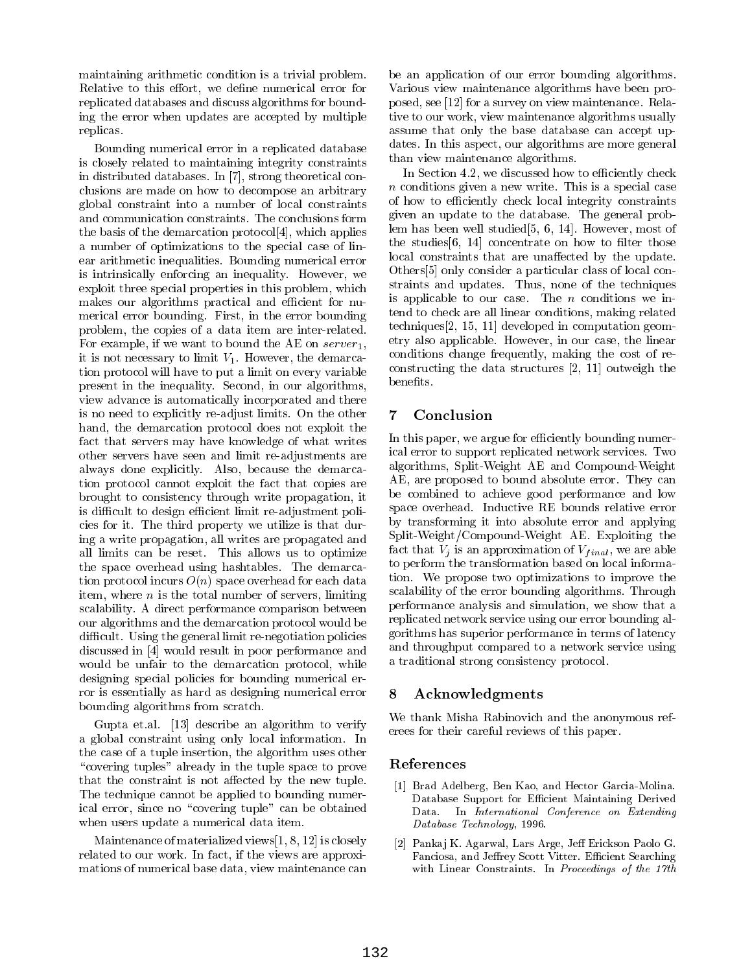maintaining arithmetic condition is a trivial problem. Relative to this effort, we define numerical error for replicated databases and discuss algorithms for bounding the error when updates are accepted by multiple replicas.

Bounding numerical error in a replicated database is closely related to maintaining integrity constraints in distributed databases. In [7], strong theoretical conclusions are made on how to decompose an arbitrary global constraint into a number of local constraints and communication constraints. The conclusions form the basis of the demarcation protocol[4], which applies a number of optimizations to the special case of linear arithmetic inequalities. Bounding numerical error is intrinsically enforcing an inequality. However, we exploit three special properties in this problem, which makes our algorithms practical and efficient for numerical error bounding. First, in the error bounding problem, the copies of a data item are inter-related. For example, if we want to bound the AE on  $server_1$ , it is not necessary to limit  $V_1$ . However, the demarcation protocol will have to put a limit on every variable present in the inequality. Second, in our algorithms, view advance is automatically incorporated and there is no need to explicitly re-adjust limits. On the other hand, the demarcation protocol does not exploit the fact that servers may have knowledge of what writes other servers have seen and limit re-adjustments are always done explicitly. Also, because the demarcation protocol cannot exploit the fact that copies are brought to consistency through write propagation, it is difficult to design efficient limit re-adjustment policies for it. The third property we utilize is that during a write propagation, all writes are propagated and all limits can be reset. This allows us to optimize the space overhead using hashtables. The demarcation protocol incurs  $O(n)$  space overhead for each data item, where  $n$  is the total number of servers, limiting scalability. A direct performance comparison between our algorithms and the demarcation protocol would be difficult. Using the general limit re-negotiation policies discussed in [4] would result in poor performance and would be unfair to the demarcation protocol, while designing special policies for bounding numerical error is essentially as hard as designing numerical error bounding algorithms from scratch.

Gupta et.al. [13] describe an algorithm to verify a global constraint using only local information. In the case of a tuple insertion, the algorithm uses other "covering tuples" already in the tuple space to prove that the constraint is not affected by the new tuple. The technique cannot be applied to bounding numerical error, since no "covering tuple" can be obtained when users update a numerical data item.

Maintenance of materialized views[1, 8, 12] is closely related to our work. In fact, if the views are approximations of numerical base data, view maintenance can be an application of our error bounding algorithms. Various view maintenance algorithms have been proposed, see [12] for a survey on view maintenance. Relative to our work, view maintenance algorithms usually assume that only the base database can accept updates. In this aspect, our algorithms are more general than view maintenance algorithms.

In Section 4.2, we discussed how to efficiently check n conditions given a new write. This is a special case of the special case of the special case of the case of the case of the case of the case of the case of the case of the case of the case of the case of the case of the of how to efficiently check local integrity constraints given an update to the database. The general problem has been well studied[5, 6, 14]. However, most of the studies  $[6, 14]$  concentrate on how to filter those local constraints that are unaffected by the update. Others[5] only consider a particular class of local constraints and updates. Thus, none of the techniques is applicable to our case. The  $n$  conditions we intend to check are all linear conditions, making related techniques[2, 15, 11] developed in computation geometry also applicable. However, in our case, the linear conditions change frequently, making the cost of reconstructing the data structures [2, 11] outweigh the benefits.

# **Conclusion**

In this paper, we argue for efficiently bounding numerical error to support replicated network services. Two algorithms, Split-Weight AE and Compound-Weight AE, are proposed to bound absolute error. They can be combined to achieve good performance and low space overhead. Inductive RE bounds relative error by transforming it into absolute error and applying Split-Weight/Compound-Weight AE. Exploiting the fact that  $V_i$  is an approximation of  $V_{final}$ , we are able to perform the transformation based on local information. We propose two optimizations to improve the scalability of the error bounding algorithms. Through performance analysis and simulation, we show that a replicated network service using our error bounding algorithms has superior performance in terms of latency and throughput compared to a network service using a traditional strong consistency protocol.

# **Acknowledgments**

We thank Misha Rabinovich and the anonymous referees for their careful reviews of this paper.

# References

- [1] Brad Adelberg, Ben Kao, and Hector Garcia-Molina. Database Support for Efficient Maintaining Derived Data. In International Conference on Extending Database Technology, 1996.
- [2] Pankaj K. Agarwal, Lars Arge, Jeff Erickson Paolo G. Fanciosa, and Jeffrey Scott Vitter. Efficient Searching with Linear Constraints. In Proceedings of the 17th